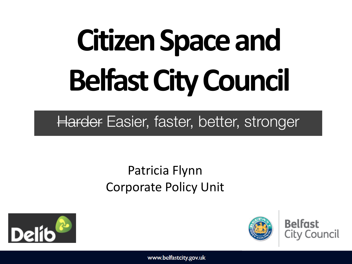# **Citizen Space and Belfast City Council**

### Harder Easier, faster, better, stronger

### Patricia Flynn Corporate Policy Unit





**Belfast** City Council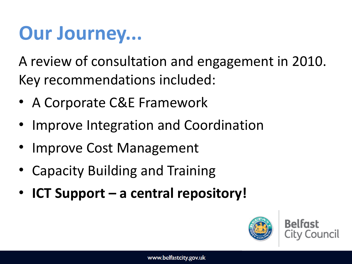### **Our Journey...**

A review of consultation and engagement in 2010. Key recommendations included:

- A Corporate C&E Framework
- Improve Integration and Coordination
- Improve Cost Management
- Capacity Building and Training
- **ICT Support a central repository!**

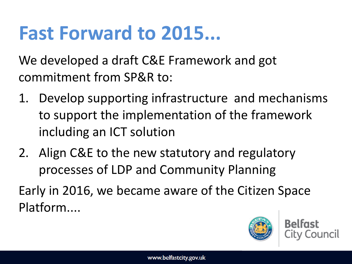### **Fast Forward to 2015...**

We developed a draft C&E Framework and got commitment from SP&R to:

- 1. Develop supporting infrastructure and mechanisms to support the implementation of the framework including an ICT solution
- 2. Align C&E to the new statutory and regulatory processes of LDP and Community Planning

Early in 2016, we became aware of the Citizen Space Platform....

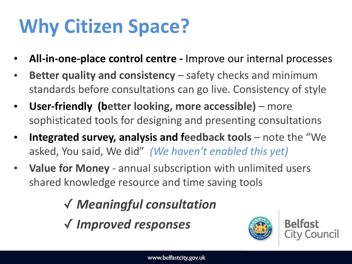### **Why Citizen Space?**

- All-in-one-place control centre Improve our internal processes
- **Better quality and consistency** safety checks and minimum standards before consultations can go live. Consistency of style
- **User-friendly (better looking, more accessible)** more sophisticated tools for designing and presenting consultations
- **Integrated survey, analysis and feedback tools** note the "We asked, You said, We did" (We haven't enabled this yet)
- **Value for Money** annual subscription with unlimited users shared knowledge resource and time saving tools

✓ *Meaningful consultation*  ✓ *Improved responses*



**Belfast** City Council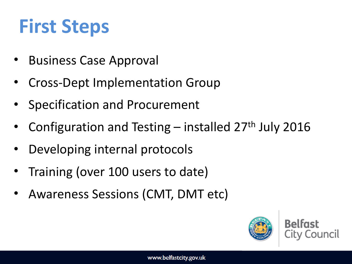### **First Steps**

- **Business Case Approval**
- Cross-Dept Implementation Group
- Specification and Procurement
- Configuration and Testing installed  $27<sup>th</sup>$  July 2016
- Developing internal protocols
- Training (over 100 users to date)
- Awareness Sessions (CMT, DMT etc)

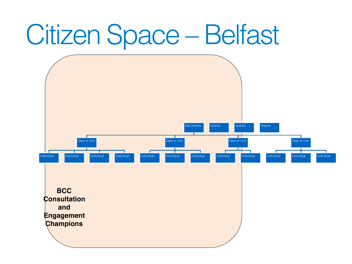# Citizen Space – Belfast

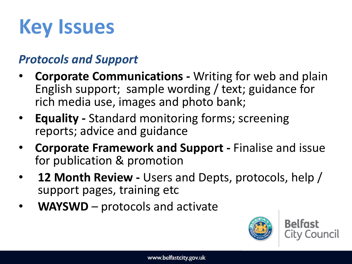# **Key Issues**

#### *Protocols and Support*

- **Corporate Communications Writing for web and plain** English support; sample wording / text; guidance for rich media use, images and photo bank;
- **Equality** Standard monitoring forms; screening reports; advice and guidance
- **Corporate Framework and Support** Finalise and issue for publication & promotion
- **12 Month Review** Users and Depts, protocols, help / support pages, training etc.
- **WAYSWD** protocols and activate

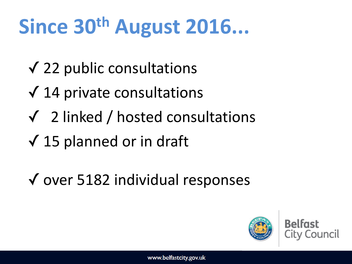# **Since 30th August 2016...**

- $\sqrt{22}$  public consultations
- $\sqrt{14}$  private consultations
- $\sqrt{2}$  linked / hosted consultations
- $\sqrt{15}$  planned or in draft
- ✓ over 5182 individual responses

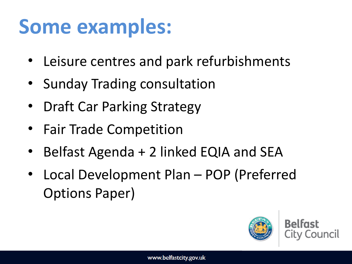## Some examples:

- Leisure centres and park refurbishments
- Sunday Trading consultation
- Draft Car Parking Strategy
- Fair Trade Competition
- Belfast Agenda + 2 linked EQIA and SEA
- Local Development Plan POP (Preferred Options Paper)

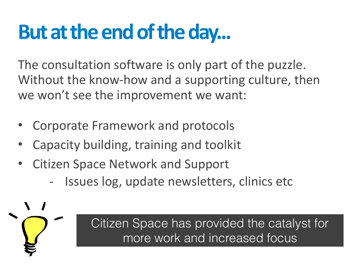### **But at the end of the day...**

The consultation software is only part of the puzzle. Without the know-how and a supporting culture, then we won't see the improvement we want:

- Corporate Framework and protocols
- Capacity building, training and toolkit
- Citizen Space Network and Support
	- Issues log, update newsletters, clinics etc

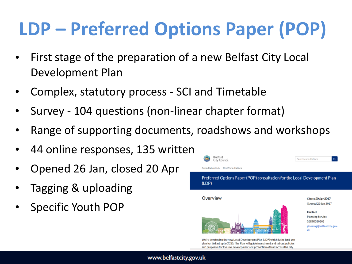### **LDP – Preferred Options Paper (POP)**

- First stage of the preparation of a new Belfast City Local Development Plan
- Complex, statutory process SCI and Timetable
- Survey 104 questions (non-linear chapter format)
- Range of supporting documents, roadshows and workshops
- 44 online responses, 135 written
- Opened 26 Jan, closed 20 Apr
- Tagging & uploading
- Specific Youth POP



We're developing the new Local Development Plan (LDP) which is the land use plan for Belfast up to 2035. The Plan will guide investment and set out policies and proposals for the use, development and protection of land across the city.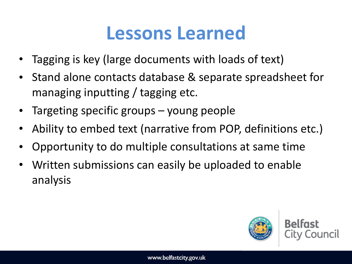### **Lessons Learned**

- Tagging is key (large documents with loads of text)
- Stand alone contacts database & separate spreadsheet for managing inputting  $/$  tagging etc.
- Targeting specific groups young people
- Ability to embed text (narrative from POP, definitions etc.)
- Opportunity to do multiple consultations at same time
- Written submissions can easily be uploaded to enable analysis

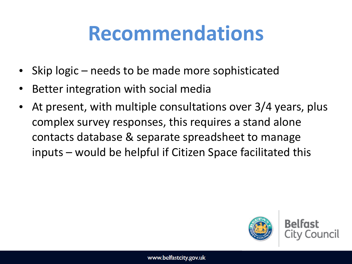### **Recommendations**

- Skip  $logic$  needs to be made more sophisticated
- Better integration with social media
- At present, with multiple consultations over 3/4 years, plus complex survey responses, this requires a stand alone contacts database & separate spreadsheet to manage  $inputs$  – would be helpful if Citizen Space facilitated this



**Belfast**